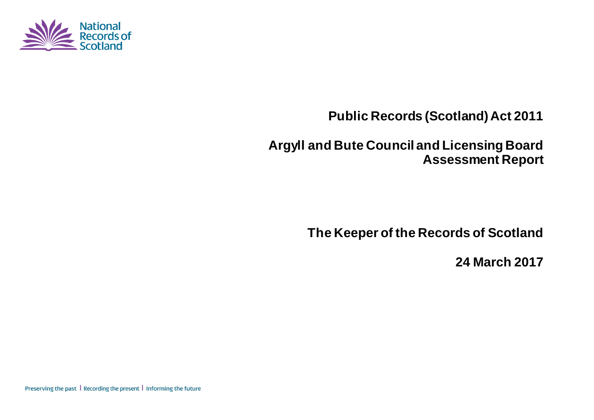

**Public Records (Scotland) Act 2011**

**Argyll and Bute Council and Licensing Board Assessment Report**

**The Keeper of the Records of Scotland**

**24 March 2017**

Preserving the past | Recording the present | Informing the future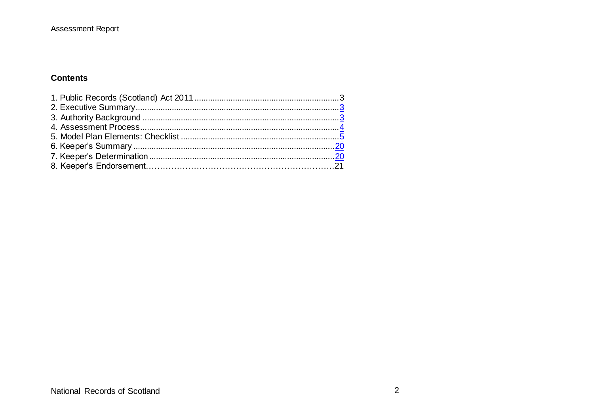#### **Contents**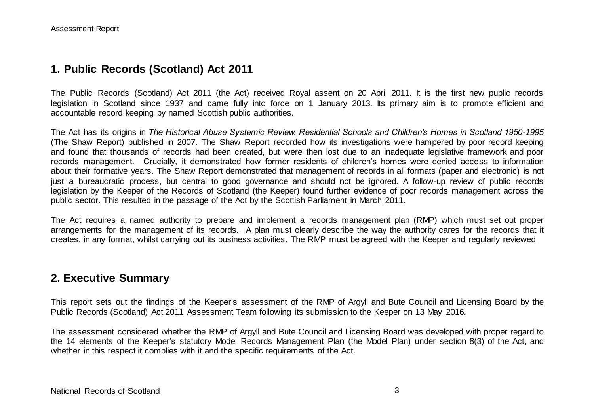### **1. Public Records (Scotland) Act 2011**

The Public Records (Scotland) Act 2011 (the Act) received Royal assent on 20 April 2011. It is the first new public records legislation in Scotland since 1937 and came fully into force on 1 January 2013. Its primary aim is to promote efficient and accountable record keeping by named Scottish public authorities.

The Act has its origins in *The Historical Abuse Systemic Review: Residential Schools and Children's Homes in Scotland 1950-1995* (The Shaw Report) published in 2007. The Shaw Report recorded how its investigations were hampered by poor record keeping and found that thousands of records had been created, but were then lost due to an inadequate legislative framework and poor records management. Crucially, it demonstrated how former residents of children's homes were denied access to information about their formative years. The Shaw Report demonstrated that management of records in all formats (paper and electronic) is not just a bureaucratic process, but central to good governance and should not be ignored. A follow-up review of public records legislation by the Keeper of the Records of Scotland (the Keeper) found further evidence of poor records management across the public sector. This resulted in the passage of the Act by the Scottish Parliament in March 2011.

The Act requires a named authority to prepare and implement a records management plan (RMP) which must set out proper arrangements for the management of its records. A plan must clearly describe the way the authority cares for the records that it creates, in any format, whilst carrying out its business activities. The RMP must be agreed with the Keeper and regularly reviewed.

#### **2. Executive Summary**

This report sets out the findings of the Keeper's assessment of the RMP of Argyll and Bute Council and Licensing Board by the Public Records (Scotland) Act 2011 Assessment Team following its submission to the Keeper on 13 May 2016*.*

The assessment considered whether the RMP of Argyll and Bute Council and Licensing Board was developed with proper regard to the 14 elements of the Keeper's statutory Model Records Management Plan (the Model Plan) under section 8(3) of the Act, and whether in this respect it complies with it and the specific requirements of the Act.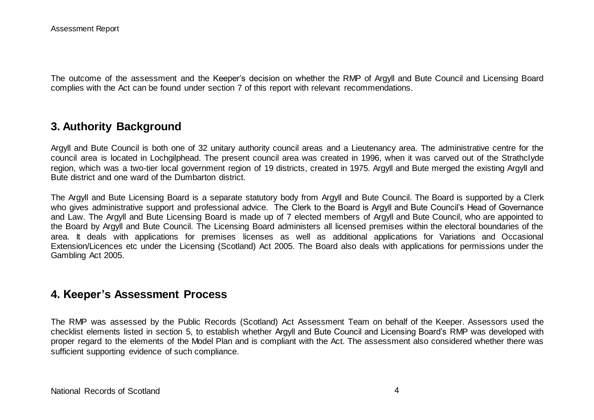The outcome of the assessment and the Keeper's decision on whether the RMP of Argyll and Bute Council and Licensing Board complies with the Act can be found under section 7 of this report with relevant recommendations.

### **3. Authority Background**

Argyll and Bute Council is both one of 32 unitary authority council areas and a Lieutenancy area. The administrative centre for the council area is located in Lochgilphead. The present council area was created in 1996, when it was carved out of the Strathclyde region, which was a two-tier local government region of 19 districts, created in 1975. Argyll and Bute merged the existing Argyll and Bute district and one ward of the Dumbarton district.

The Argyll and Bute Licensing Board is a separate statutory body from Argyll and Bute Council. The Board is supported by a Clerk who gives administrative support and professional advice. The Clerk to the Board is Argyll and Bute Council's Head of Governance and Law. The Argyll and Bute Licensing Board is made up of 7 elected members of Argyll and Bute Council, who are appointed to the Board by Argyll and Bute Council. The Licensing Board administers all licensed premises within the electoral boundaries of the area. It deals with applications for premises licenses as well as additional applications for Variations and Occasional Extension/Licences etc under the Licensing (Scotland) Act 2005. The Board also deals with applications for permissions under the Gambling Act 2005.

#### **4. Keeper's Assessment Process**

The RMP was assessed by the Public Records (Scotland) Act Assessment Team on behalf of the Keeper. Assessors used the checklist elements listed in section 5, to establish whether Argyll and Bute Council and Licensing Board's RMP was developed with proper regard to the elements of the Model Plan and is compliant with the Act. The assessment also considered whether there was sufficient supporting evidence of such compliance.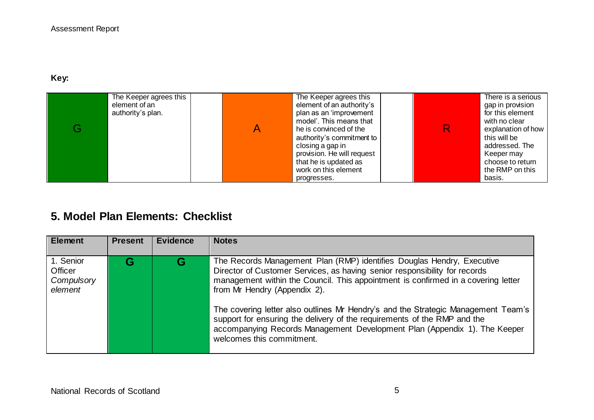### **Key:**

| The Keeper agrees this<br>element of an<br>authority's plan. | The Keeper agrees this<br>element of an authority's<br>plan as an 'improvement<br>model'. This means that<br>he is convinced of the<br>authority's commitment to<br>closing a gap in<br>provision. He will request<br>that he is updated as<br>work on this element | R | There is a serious<br>gap in provision<br>for this element<br>with no clear<br>explanation of how<br>this will be<br>addressed. The<br>Keeper may<br>choose to return<br>the RMP on this |
|--------------------------------------------------------------|---------------------------------------------------------------------------------------------------------------------------------------------------------------------------------------------------------------------------------------------------------------------|---|------------------------------------------------------------------------------------------------------------------------------------------------------------------------------------------|
|                                                              | progresses.                                                                                                                                                                                                                                                         |   | basis.                                                                                                                                                                                   |

# **5. Model Plan Elements: Checklist**

| <b>Element</b>                                | <b>Present</b> | <b>Evidence</b> | <b>Notes</b>                                                                                                                                                                                                                                                                                                                                                                                                                                                                                                                                         |
|-----------------------------------------------|----------------|-----------------|------------------------------------------------------------------------------------------------------------------------------------------------------------------------------------------------------------------------------------------------------------------------------------------------------------------------------------------------------------------------------------------------------------------------------------------------------------------------------------------------------------------------------------------------------|
| 1. Senior<br>Officer<br>Compulsory<br>element | G              | G               | The Records Management Plan (RMP) identifies Douglas Hendry, Executive<br>Director of Customer Services, as having senior responsibility for records<br>management within the Council. This appointment is confirmed in a covering letter<br>from Mr Hendry (Appendix 2).<br>The covering letter also outlines Mr Hendry's and the Strategic Management Team's<br>support for ensuring the delivery of the requirements of the RMP and the<br>accompanying Records Management Development Plan (Appendix 1). The Keeper<br>welcomes this commitment. |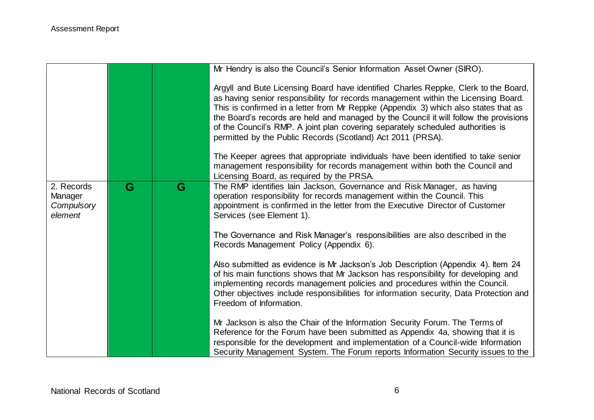|                                                |   |   | Mr Hendry is also the Council's Senior Information Asset Owner (SIRO).                                                                                                                                                                                                                                                                                                                                                                                                                                      |
|------------------------------------------------|---|---|-------------------------------------------------------------------------------------------------------------------------------------------------------------------------------------------------------------------------------------------------------------------------------------------------------------------------------------------------------------------------------------------------------------------------------------------------------------------------------------------------------------|
|                                                |   |   | Argyll and Bute Licensing Board have identified Charles Reppke, Clerk to the Board,<br>as having senior responsibility for records management within the Licensing Board.<br>This is confirmed in a letter from Mr Reppke (Appendix 3) which also states that as<br>the Board's records are held and managed by the Council it will follow the provisions<br>of the Council's RMP. A joint plan covering separately scheduled authorities is<br>permitted by the Public Records (Scotland) Act 2011 (PRSA). |
|                                                |   |   | The Keeper agrees that appropriate individuals have been identified to take senior<br>management responsibility for records management within both the Council and<br>Licensing Board, as required by the PRSA.                                                                                                                                                                                                                                                                                             |
| 2. Records<br>Manager<br>Compulsory<br>element | G | G | The RMP identifies lain Jackson, Governance and Risk Manager, as having<br>operation responsibility for records management within the Council. This<br>appointment is confirmed in the letter from the Executive Director of Customer<br>Services (see Element 1).                                                                                                                                                                                                                                          |
|                                                |   |   | The Governance and Risk Manager's responsibilities are also described in the<br>Records Management Policy (Appendix 6).                                                                                                                                                                                                                                                                                                                                                                                     |
|                                                |   |   | Also submitted as evidence is Mr Jackson's Job Description (Appendix 4). Item 24<br>of his main functions shows that Mr Jackson has responsibility for developing and<br>implementing records management policies and procedures within the Council.<br>Other objectives include responsibilities for information security, Data Protection and<br>Freedom of Information.                                                                                                                                  |
|                                                |   |   | Mr Jackson is also the Chair of the Information Security Forum. The Terms of<br>Reference for the Forum have been submitted as Appendix 4a, showing that it is<br>responsible for the development and implementation of a Council-wide Information<br>Security Management System. The Forum reports Information Security issues to the                                                                                                                                                                      |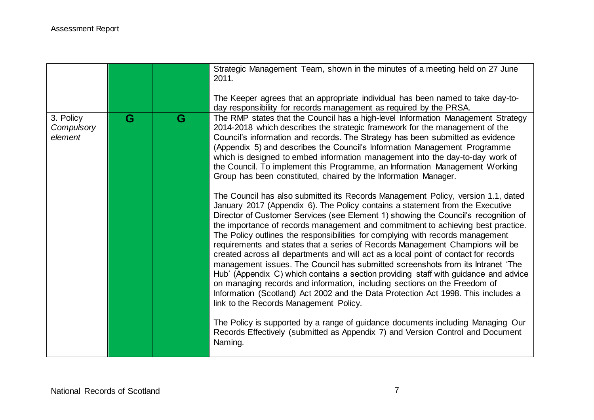|                                    |   |   | Strategic Management Team, shown in the minutes of a meeting held on 27 June<br>2011.<br>The Keeper agrees that an appropriate individual has been named to take day-to-<br>day responsibility for records management as required by the PRSA.                                                                                                                                                                                                                                                                                                                                                                                                                                                                                                                                                                                                                                                                                                                                                                                                                                                                                                                                                                                                                                                                                                                                                                                                                                                                                                                                                                                                                                                                                                  |
|------------------------------------|---|---|-------------------------------------------------------------------------------------------------------------------------------------------------------------------------------------------------------------------------------------------------------------------------------------------------------------------------------------------------------------------------------------------------------------------------------------------------------------------------------------------------------------------------------------------------------------------------------------------------------------------------------------------------------------------------------------------------------------------------------------------------------------------------------------------------------------------------------------------------------------------------------------------------------------------------------------------------------------------------------------------------------------------------------------------------------------------------------------------------------------------------------------------------------------------------------------------------------------------------------------------------------------------------------------------------------------------------------------------------------------------------------------------------------------------------------------------------------------------------------------------------------------------------------------------------------------------------------------------------------------------------------------------------------------------------------------------------------------------------------------------------|
| 3. Policy<br>Compulsory<br>element | G | G | The RMP states that the Council has a high-level Information Management Strategy<br>2014-2018 which describes the strategic framework for the management of the<br>Council's information and records. The Strategy has been submitted as evidence<br>(Appendix 5) and describes the Council's Information Management Programme<br>which is designed to embed information management into the day-to-day work of<br>the Council. To implement this Programme, an Information Management Working<br>Group has been constituted, chaired by the Information Manager.<br>The Council has also submitted its Records Management Policy, version 1.1, dated<br>January 2017 (Appendix 6). The Policy contains a statement from the Executive<br>Director of Customer Services (see Element 1) showing the Council's recognition of<br>the importance of records management and commitment to achieving best practice.<br>The Policy outlines the responsibilities for complying with records management<br>requirements and states that a series of Records Management Champions will be<br>created across all departments and will act as a local point of contact for records<br>management issues. The Council has submitted screenshots from its Intranet 'The<br>Hub' (Appendix C) which contains a section providing staff with guidance and advice<br>on managing records and information, including sections on the Freedom of<br>Information (Scotland) Act 2002 and the Data Protection Act 1998. This includes a<br>link to the Records Management Policy.<br>The Policy is supported by a range of guidance documents including Managing Our<br>Records Effectively (submitted as Appendix 7) and Version Control and Document<br>Naming. |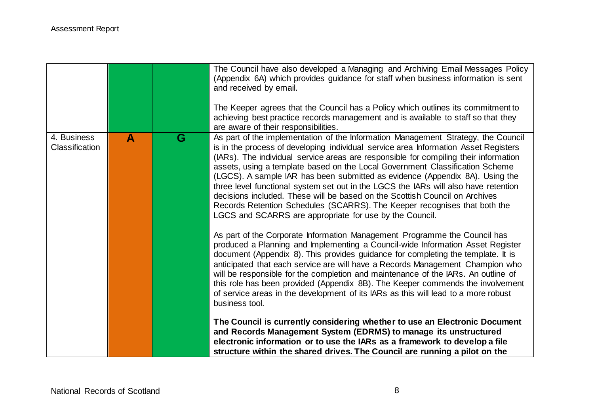|                               |              |   | The Council have also developed a Managing and Archiving Email Messages Policy<br>(Appendix 6A) which provides guidance for staff when business information is sent<br>and received by email.<br>The Keeper agrees that the Council has a Policy which outlines its commitment to<br>achieving best practice records management and is available to staff so that they<br>are aware of their responsibilities.                                                                                                                                                                                                                                                                                                                                                                                                                                                                                                                                                                                                                                                                                                                                                                                                                                                                                                                                                                                                                                                                                                                                                                                                                                                                  |
|-------------------------------|--------------|---|---------------------------------------------------------------------------------------------------------------------------------------------------------------------------------------------------------------------------------------------------------------------------------------------------------------------------------------------------------------------------------------------------------------------------------------------------------------------------------------------------------------------------------------------------------------------------------------------------------------------------------------------------------------------------------------------------------------------------------------------------------------------------------------------------------------------------------------------------------------------------------------------------------------------------------------------------------------------------------------------------------------------------------------------------------------------------------------------------------------------------------------------------------------------------------------------------------------------------------------------------------------------------------------------------------------------------------------------------------------------------------------------------------------------------------------------------------------------------------------------------------------------------------------------------------------------------------------------------------------------------------------------------------------------------------|
| 4. Business<br>Classification | $\mathbf{A}$ | G | As part of the implementation of the Information Management Strategy, the Council<br>is in the process of developing individual service area Information Asset Registers<br>(IARs). The individual service areas are responsible for compiling their information<br>assets, using a template based on the Local Government Classification Scheme<br>(LGCS). A sample IAR has been submitted as evidence (Appendix 8A). Using the<br>three level functional system set out in the LGCS the IARs will also have retention<br>decisions included. These will be based on the Scottish Council on Archives<br>Records Retention Schedules (SCARRS). The Keeper recognises that both the<br>LGCS and SCARRS are appropriate for use by the Council.<br>As part of the Corporate Information Management Programme the Council has<br>produced a Planning and Implementing a Council-wide Information Asset Register<br>document (Appendix 8). This provides guidance for completing the template. It is<br>anticipated that each service are will have a Records Management Champion who<br>will be responsible for the completion and maintenance of the IARs. An outline of<br>this role has been provided (Appendix 8B). The Keeper commends the involvement<br>of service areas in the development of its IARs as this will lead to a more robust<br>business tool.<br>The Council is currently considering whether to use an Electronic Document<br>and Records Management System (EDRMS) to manage its unstructured<br>electronic information or to use the IARs as a framework to develop a file<br>structure within the shared drives. The Council are running a pilot on the |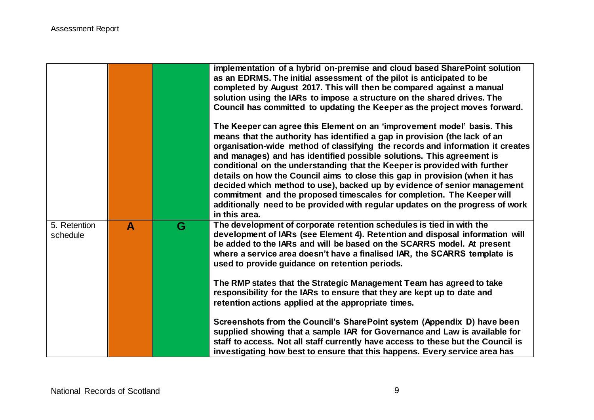|                          |   |   | implementation of a hybrid on-premise and cloud based SharePoint solution<br>as an EDRMS. The initial assessment of the pilot is anticipated to be<br>completed by August 2017. This will then be compared against a manual<br>solution using the IARs to impose a structure on the shared drives. The<br>Council has committed to updating the Keeper as the project moves forward.                                                                                                                                                                                                                                                                                                                                                 |
|--------------------------|---|---|--------------------------------------------------------------------------------------------------------------------------------------------------------------------------------------------------------------------------------------------------------------------------------------------------------------------------------------------------------------------------------------------------------------------------------------------------------------------------------------------------------------------------------------------------------------------------------------------------------------------------------------------------------------------------------------------------------------------------------------|
|                          |   |   | The Keeper can agree this Element on an 'improvement model' basis. This<br>means that the authority has identified a gap in provision (the lack of an<br>organisation-wide method of classifying the records and information it creates<br>and manages) and has identified possible solutions. This agreement is<br>conditional on the understanding that the Keeper is provided with further<br>details on how the Council aims to close this gap in provision (when it has<br>decided which method to use), backed up by evidence of senior management<br>commitment and the proposed timescales for completion. The Keeper will<br>additionally need to be provided with regular updates on the progress of work<br>in this area. |
| 5. Retention<br>schedule | A | G | The development of corporate retention schedules is tied in with the<br>development of IARs (see Element 4). Retention and disposal information will<br>be added to the IARs and will be based on the SCARRS model. At present<br>where a service area doesn't have a finalised IAR, the SCARRS template is<br>used to provide guidance on retention periods.                                                                                                                                                                                                                                                                                                                                                                        |
|                          |   |   | The RMP states that the Strategic Management Team has agreed to take<br>responsibility for the IARs to ensure that they are kept up to date and<br>retention actions applied at the appropriate times.                                                                                                                                                                                                                                                                                                                                                                                                                                                                                                                               |
|                          |   |   | Screenshots from the Council's SharePoint system (Appendix D) have been<br>supplied showing that a sample IAR for Governance and Law is available for<br>staff to access. Not all staff currently have access to these but the Council is<br>investigating how best to ensure that this happens. Every service area has                                                                                                                                                                                                                                                                                                                                                                                                              |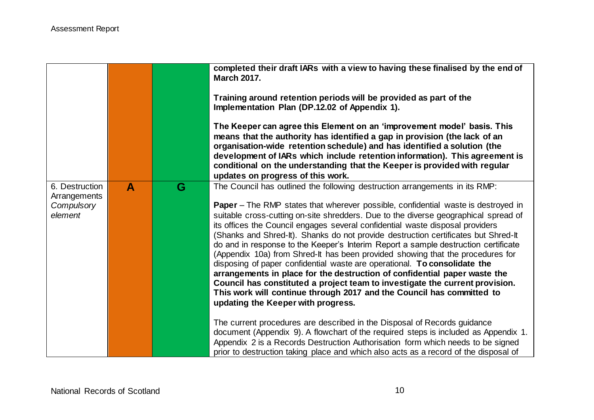|                                                         |   |   | completed their draft IARs with a view to having these finalised by the end of<br><b>March 2017.</b><br>Training around retention periods will be provided as part of the<br>Implementation Plan (DP.12.02 of Appendix 1).<br>The Keeper can agree this Element on an 'improvement model' basis. This<br>means that the authority has identified a gap in provision (the lack of an<br>organisation-wide retention schedule) and has identified a solution (the<br>development of IARs which include retention information). This agreement is<br>conditional on the understanding that the Keeper is provided with regular<br>updates on progress of this work.                                                                                                                                                                                                                                                                                                                                                                                                                                                                                                                                                                                                                                                     |
|---------------------------------------------------------|---|---|----------------------------------------------------------------------------------------------------------------------------------------------------------------------------------------------------------------------------------------------------------------------------------------------------------------------------------------------------------------------------------------------------------------------------------------------------------------------------------------------------------------------------------------------------------------------------------------------------------------------------------------------------------------------------------------------------------------------------------------------------------------------------------------------------------------------------------------------------------------------------------------------------------------------------------------------------------------------------------------------------------------------------------------------------------------------------------------------------------------------------------------------------------------------------------------------------------------------------------------------------------------------------------------------------------------------|
| 6. Destruction<br>Arrangements<br>Compulsory<br>element | A | G | The Council has outlined the following destruction arrangements in its RMP:<br><b>Paper</b> – The RMP states that wherever possible, confidential waste is destroyed in<br>suitable cross-cutting on-site shredders. Due to the diverse geographical spread of<br>its offices the Council engages several confidential waste disposal providers<br>(Shanks and Shred-It). Shanks do not provide destruction certificates but Shred-It<br>do and in response to the Keeper's Interim Report a sample destruction certificate<br>(Appendix 10a) from Shred-It has been provided showing that the procedures for<br>disposing of paper confidential waste are operational. To consolidate the<br>arrangements in place for the destruction of confidential paper waste the<br>Council has constituted a project team to investigate the current provision.<br>This work will continue through 2017 and the Council has committed to<br>updating the Keeper with progress.<br>The current procedures are described in the Disposal of Records guidance<br>document (Appendix 9). A flowchart of the required steps is included as Appendix 1.<br>Appendix 2 is a Records Destruction Authorisation form which needs to be signed<br>prior to destruction taking place and which also acts as a record of the disposal of |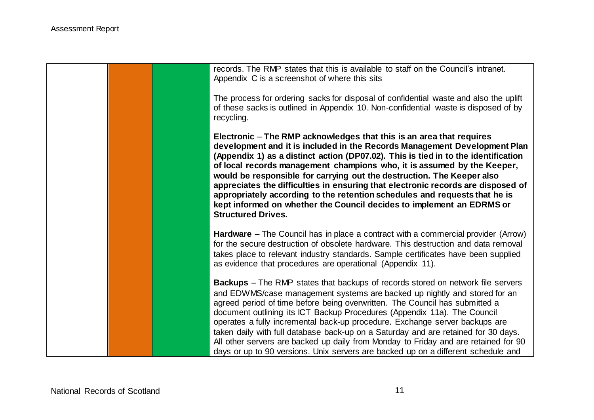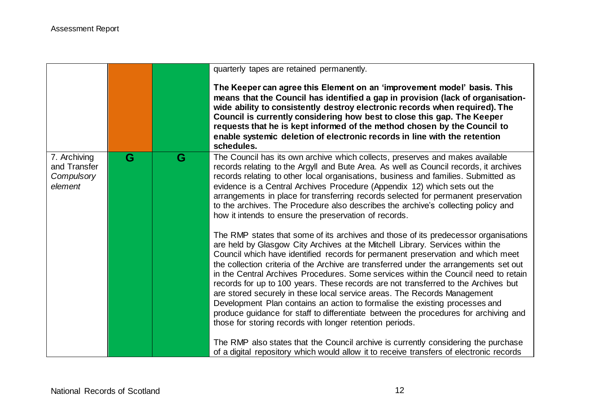|                                                       |   |   | quarterly tapes are retained permanently.                                                                                                                                                                                                                                                                                                                                                                                                                                                                                                                                                                                                                                                                                                                                                                                                                                                                                                                                                                                      |
|-------------------------------------------------------|---|---|--------------------------------------------------------------------------------------------------------------------------------------------------------------------------------------------------------------------------------------------------------------------------------------------------------------------------------------------------------------------------------------------------------------------------------------------------------------------------------------------------------------------------------------------------------------------------------------------------------------------------------------------------------------------------------------------------------------------------------------------------------------------------------------------------------------------------------------------------------------------------------------------------------------------------------------------------------------------------------------------------------------------------------|
|                                                       |   |   | The Keeper can agree this Element on an 'improvement model' basis. This<br>means that the Council has identified a gap in provision (lack of organisation-<br>wide ability to consistently destroy electronic records when required). The<br>Council is currently considering how best to close this gap. The Keeper<br>requests that he is kept informed of the method chosen by the Council to<br>enable systemic deletion of electronic records in line with the retention<br>schedules.                                                                                                                                                                                                                                                                                                                                                                                                                                                                                                                                    |
| 7. Archiving<br>and Transfer<br>Compulsory<br>element | G | G | The Council has its own archive which collects, preserves and makes available<br>records relating to the Argyll and Bute Area. As well as Council records, it archives<br>records relating to other local organisations, business and families. Submitted as<br>evidence is a Central Archives Procedure (Appendix 12) which sets out the<br>arrangements in place for transferring records selected for permanent preservation<br>to the archives. The Procedure also describes the archive's collecting policy and<br>how it intends to ensure the preservation of records.                                                                                                                                                                                                                                                                                                                                                                                                                                                  |
|                                                       |   |   | The RMP states that some of its archives and those of its predecessor organisations<br>are held by Glasgow City Archives at the Mitchell Library. Services within the<br>Council which have identified records for permanent preservation and which meet<br>the collection criteria of the Archive are transferred under the arrangements set out<br>in the Central Archives Procedures. Some services within the Council need to retain<br>records for up to 100 years. These records are not transferred to the Archives but<br>are stored securely in these local service areas. The Records Management<br>Development Plan contains an action to formalise the existing processes and<br>produce guidance for staff to differentiate between the procedures for archiving and<br>those for storing records with longer retention periods.<br>The RMP also states that the Council archive is currently considering the purchase<br>of a digital repository which would allow it to receive transfers of electronic records |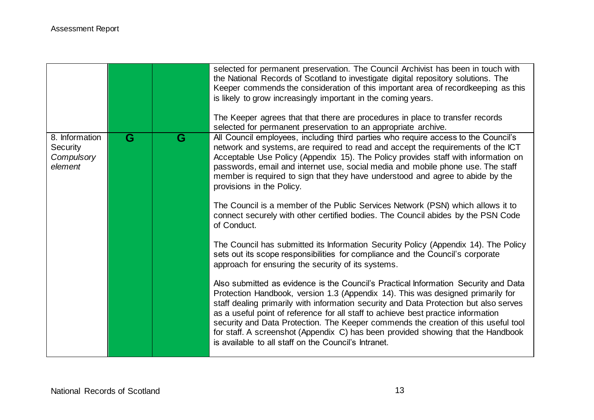|                                                     |   |   | selected for permanent preservation. The Council Archivist has been in touch with<br>the National Records of Scotland to investigate digital repository solutions. The<br>Keeper commends the consideration of this important area of recordkeeping as this<br>is likely to grow increasingly important in the coming years.<br>The Keeper agrees that that there are procedures in place to transfer records<br>selected for permanent preservation to an appropriate archive.                                                                                                        |
|-----------------------------------------------------|---|---|----------------------------------------------------------------------------------------------------------------------------------------------------------------------------------------------------------------------------------------------------------------------------------------------------------------------------------------------------------------------------------------------------------------------------------------------------------------------------------------------------------------------------------------------------------------------------------------|
| 8. Information<br>Security<br>Compulsory<br>element | G | G | All Council employees, including third parties who require access to the Council's<br>network and systems, are required to read and accept the requirements of the ICT<br>Acceptable Use Policy (Appendix 15). The Policy provides staff with information on<br>passwords, email and internet use, social media and mobile phone use. The staff<br>member is required to sign that they have understood and agree to abide by the<br>provisions in the Policy.                                                                                                                         |
|                                                     |   |   | The Council is a member of the Public Services Network (PSN) which allows it to<br>connect securely with other certified bodies. The Council abides by the PSN Code<br>of Conduct.                                                                                                                                                                                                                                                                                                                                                                                                     |
|                                                     |   |   | The Council has submitted its Information Security Policy (Appendix 14). The Policy<br>sets out its scope responsibilities for compliance and the Council's corporate<br>approach for ensuring the security of its systems.                                                                                                                                                                                                                                                                                                                                                            |
|                                                     |   |   | Also submitted as evidence is the Council's Practical Information Security and Data<br>Protection Handbook, version 1.3 (Appendix 14). This was designed primarily for<br>staff dealing primarily with information security and Data Protection but also serves<br>as a useful point of reference for all staff to achieve best practice information<br>security and Data Protection. The Keeper commends the creation of this useful tool<br>for staff. A screenshot (Appendix C) has been provided showing that the Handbook<br>is available to all staff on the Council's Intranet. |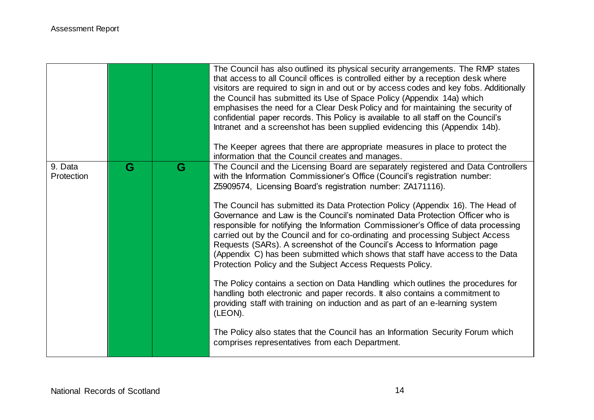|                       |   |   | The Council has also outlined its physical security arrangements. The RMP states<br>that access to all Council offices is controlled either by a reception desk where<br>visitors are required to sign in and out or by access codes and key fobs. Additionally<br>the Council has submitted its Use of Space Policy (Appendix 14a) which<br>emphasises the need for a Clear Desk Policy and for maintaining the security of<br>confidential paper records. This Policy is available to all staff on the Council's<br>Intranet and a screenshot has been supplied evidencing this (Appendix 14b).<br>The Keeper agrees that there are appropriate measures in place to protect the<br>information that the Council creates and manages.                                                                                                                                                                                                                                                                                                                                                                                                                                                                       |
|-----------------------|---|---|---------------------------------------------------------------------------------------------------------------------------------------------------------------------------------------------------------------------------------------------------------------------------------------------------------------------------------------------------------------------------------------------------------------------------------------------------------------------------------------------------------------------------------------------------------------------------------------------------------------------------------------------------------------------------------------------------------------------------------------------------------------------------------------------------------------------------------------------------------------------------------------------------------------------------------------------------------------------------------------------------------------------------------------------------------------------------------------------------------------------------------------------------------------------------------------------------------------|
| 9. Data<br>Protection | G | G | The Council and the Licensing Board are separately registered and Data Controllers<br>with the Information Commissioner's Office (Council's registration number:<br>Z5909574, Licensing Board's registration number: ZA171116).<br>The Council has submitted its Data Protection Policy (Appendix 16). The Head of<br>Governance and Law is the Council's nominated Data Protection Officer who is<br>responsible for notifying the Information Commissioner's Office of data processing<br>carried out by the Council and for co-ordinating and processing Subject Access<br>Requests (SARs). A screenshot of the Council's Access to Information page<br>(Appendix C) has been submitted which shows that staff have access to the Data<br>Protection Policy and the Subject Access Requests Policy.<br>The Policy contains a section on Data Handling which outlines the procedures for<br>handling both electronic and paper records. It also contains a commitment to<br>providing staff with training on induction and as part of an e-learning system<br>(LEON).<br>The Policy also states that the Council has an Information Security Forum which<br>comprises representatives from each Department. |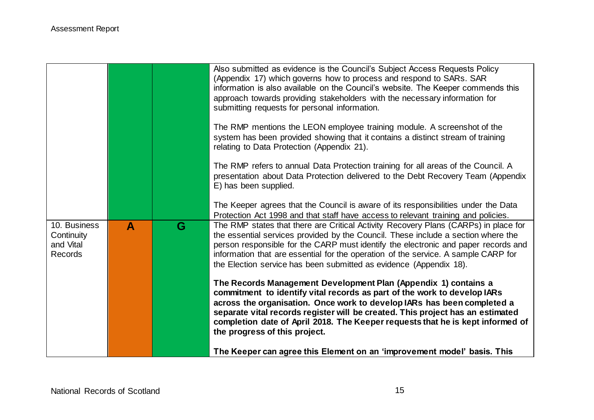|                                                           |   |   | Also submitted as evidence is the Council's Subject Access Requests Policy<br>(Appendix 17) which governs how to process and respond to SARs. SAR<br>information is also available on the Council's website. The Keeper commends this<br>approach towards providing stakeholders with the necessary information for<br>submitting requests for personal information.                                                        |
|-----------------------------------------------------------|---|---|-----------------------------------------------------------------------------------------------------------------------------------------------------------------------------------------------------------------------------------------------------------------------------------------------------------------------------------------------------------------------------------------------------------------------------|
|                                                           |   |   | The RMP mentions the LEON employee training module. A screenshot of the<br>system has been provided showing that it contains a distinct stream of training<br>relating to Data Protection (Appendix 21).                                                                                                                                                                                                                    |
|                                                           |   |   | The RMP refers to annual Data Protection training for all areas of the Council. A<br>presentation about Data Protection delivered to the Debt Recovery Team (Appendix<br>E) has been supplied.                                                                                                                                                                                                                              |
|                                                           |   |   | The Keeper agrees that the Council is aware of its responsibilities under the Data<br>Protection Act 1998 and that staff have access to relevant training and policies.                                                                                                                                                                                                                                                     |
| 10. Business<br>Continuity<br>and Vital<br><b>Records</b> | A | G | The RMP states that there are Critical Activity Recovery Plans (CARPs) in place for<br>the essential services provided by the Council. These include a section where the<br>person responsible for the CARP must identify the electronic and paper records and<br>information that are essential for the operation of the service. A sample CARP for<br>the Election service has been submitted as evidence (Appendix 18).  |
|                                                           |   |   | The Records Management Development Plan (Appendix 1) contains a<br>commitment to identify vital records as part of the work to develop IARs<br>across the organisation. Once work to develop IARs has been completed a<br>separate vital records register will be created. This project has an estimated<br>completion date of April 2018. The Keeper requests that he is kept informed of<br>the progress of this project. |
|                                                           |   |   | The Keeper can agree this Element on an 'improvement model' basis. This                                                                                                                                                                                                                                                                                                                                                     |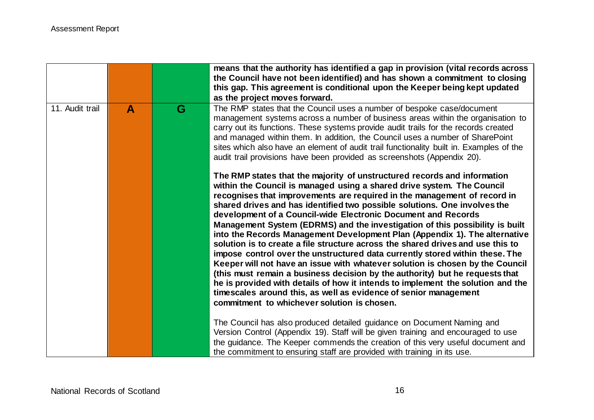|                 |              |   | means that the authority has identified a gap in provision (vital records across<br>the Council have not been identified) and has shown a commitment to closing<br>this gap. This agreement is conditional upon the Keeper being kept updated<br>as the project moves forward.                                                                                                                                                                                                                                                                                                                                                                                                                                                                                                                                                                                                                                                                                                                                                                                                       |
|-----------------|--------------|---|--------------------------------------------------------------------------------------------------------------------------------------------------------------------------------------------------------------------------------------------------------------------------------------------------------------------------------------------------------------------------------------------------------------------------------------------------------------------------------------------------------------------------------------------------------------------------------------------------------------------------------------------------------------------------------------------------------------------------------------------------------------------------------------------------------------------------------------------------------------------------------------------------------------------------------------------------------------------------------------------------------------------------------------------------------------------------------------|
| 11. Audit trail | $\mathbf{A}$ | G | The RMP states that the Council uses a number of bespoke case/document<br>management systems across a number of business areas within the organisation to<br>carry out its functions. These systems provide audit trails for the records created<br>and managed within them. In addition, the Council uses a number of SharePoint<br>sites which also have an element of audit trail functionality built in. Examples of the<br>audit trail provisions have been provided as screenshots (Appendix 20).                                                                                                                                                                                                                                                                                                                                                                                                                                                                                                                                                                              |
|                 |              |   | The RMP states that the majority of unstructured records and information<br>within the Council is managed using a shared drive system. The Council<br>recognises that improvements are required in the management of record in<br>shared drives and has identified two possible solutions. One involves the<br>development of a Council-wide Electronic Document and Records<br>Management System (EDRMS) and the investigation of this possibility is built<br>into the Records Management Development Plan (Appendix 1). The alternative<br>solution is to create a file structure across the shared drives and use this to<br>impose control over the unstructured data currently stored within these. The<br>Keeper will not have an issue with whatever solution is chosen by the Council<br>(this must remain a business decision by the authority) but he requests that<br>he is provided with details of how it intends to implement the solution and the<br>timescales around this, as well as evidence of senior management<br>commitment to whichever solution is chosen. |
|                 |              |   | The Council has also produced detailed guidance on Document Naming and<br>Version Control (Appendix 19). Staff will be given training and encouraged to use<br>the guidance. The Keeper commends the creation of this very useful document and<br>the commitment to ensuring staff are provided with training in its use.                                                                                                                                                                                                                                                                                                                                                                                                                                                                                                                                                                                                                                                                                                                                                            |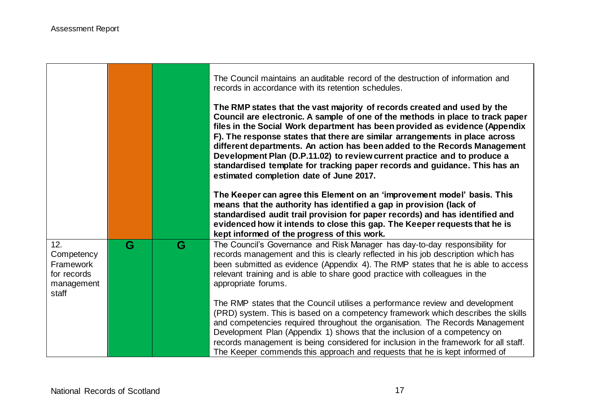|                                                                      |   |   | The Council maintains an auditable record of the destruction of information and<br>records in accordance with its retention schedules.                                                                                                                                                                                                                                                                                                                                                                                                                                                                     |
|----------------------------------------------------------------------|---|---|------------------------------------------------------------------------------------------------------------------------------------------------------------------------------------------------------------------------------------------------------------------------------------------------------------------------------------------------------------------------------------------------------------------------------------------------------------------------------------------------------------------------------------------------------------------------------------------------------------|
|                                                                      |   |   | The RMP states that the vast majority of records created and used by the<br>Council are electronic. A sample of one of the methods in place to track paper<br>files in the Social Work department has been provided as evidence (Appendix<br>F). The response states that there are similar arrangements in place across<br>different departments. An action has been added to the Records Management<br>Development Plan (D.P.11.02) to review current practice and to produce a<br>standardised template for tracking paper records and guidance. This has an<br>estimated completion date of June 2017. |
|                                                                      |   |   | The Keeper can agree this Element on an 'improvement model' basis. This<br>means that the authority has identified a gap in provision (lack of<br>standardised audit trail provision for paper records) and has identified and<br>evidenced how it intends to close this gap. The Keeper requests that he is<br>kept informed of the progress of this work.                                                                                                                                                                                                                                                |
| 12.<br>Competency<br>Framework<br>for records<br>management<br>staff | G | G | The Council's Governance and Risk Manager has day-to-day responsibility for<br>records management and this is clearly reflected in his job description which has<br>been submitted as evidence (Appendix 4). The RMP states that he is able to access<br>relevant training and is able to share good practice with colleagues in the<br>appropriate forums.                                                                                                                                                                                                                                                |
|                                                                      |   |   | The RMP states that the Council utilises a performance review and development<br>(PRD) system. This is based on a competency framework which describes the skills<br>and competencies required throughout the organisation. The Records Management<br>Development Plan (Appendix 1) shows that the inclusion of a competency on<br>records management is being considered for inclusion in the framework for all staff.<br>The Keeper commends this approach and requests that he is kept informed of                                                                                                      |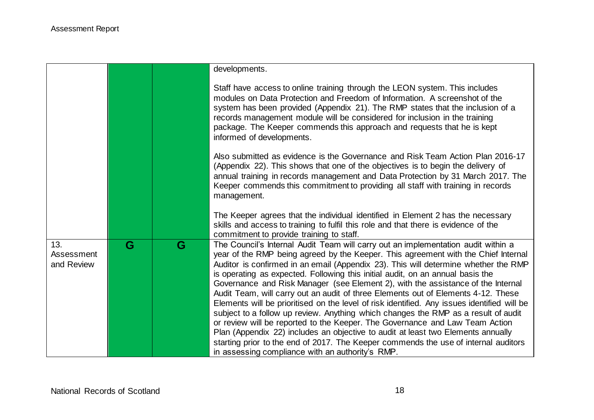|                                 |   |   | developments.                                                                                                                                                                                                                                                                                                                                                                                                                                                                                                                                                                                                                                                                                                                                                                                                                                                                                                                                                                                                                 |
|---------------------------------|---|---|-------------------------------------------------------------------------------------------------------------------------------------------------------------------------------------------------------------------------------------------------------------------------------------------------------------------------------------------------------------------------------------------------------------------------------------------------------------------------------------------------------------------------------------------------------------------------------------------------------------------------------------------------------------------------------------------------------------------------------------------------------------------------------------------------------------------------------------------------------------------------------------------------------------------------------------------------------------------------------------------------------------------------------|
|                                 |   |   | Staff have access to online training through the LEON system. This includes<br>modules on Data Protection and Freedom of Information. A screenshot of the<br>system has been provided (Appendix 21). The RMP states that the inclusion of a<br>records management module will be considered for inclusion in the training<br>package. The Keeper commends this approach and requests that he is kept<br>informed of developments.                                                                                                                                                                                                                                                                                                                                                                                                                                                                                                                                                                                             |
|                                 |   |   | Also submitted as evidence is the Governance and Risk Team Action Plan 2016-17<br>(Appendix 22). This shows that one of the objectives is to begin the delivery of<br>annual training in records management and Data Protection by 31 March 2017. The<br>Keeper commends this commitment to providing all staff with training in records<br>management.                                                                                                                                                                                                                                                                                                                                                                                                                                                                                                                                                                                                                                                                       |
|                                 |   |   | The Keeper agrees that the individual identified in Element 2 has the necessary<br>skills and access to training to fulfil this role and that there is evidence of the<br>commitment to provide training to staff.                                                                                                                                                                                                                                                                                                                                                                                                                                                                                                                                                                                                                                                                                                                                                                                                            |
| 13.<br>Assessment<br>and Review | G | G | The Council's Internal Audit Team will carry out an implementation audit within a<br>year of the RMP being agreed by the Keeper. This agreement with the Chief Internal<br>Auditor is confirmed in an email (Appendix 23). This will determine whether the RMP<br>is operating as expected. Following this initial audit, on an annual basis the<br>Governance and Risk Manager (see Element 2), with the assistance of the Internal<br>Audit Team, will carry out an audit of three Elements out of Elements 4-12. These<br>Elements will be prioritised on the level of risk identified. Any issues identified will be<br>subject to a follow up review. Anything which changes the RMP as a result of audit<br>or review will be reported to the Keeper. The Governance and Law Team Action<br>Plan (Appendix 22) includes an objective to audit at least two Elements annually<br>starting prior to the end of 2017. The Keeper commends the use of internal auditors<br>in assessing compliance with an authority's RMP. |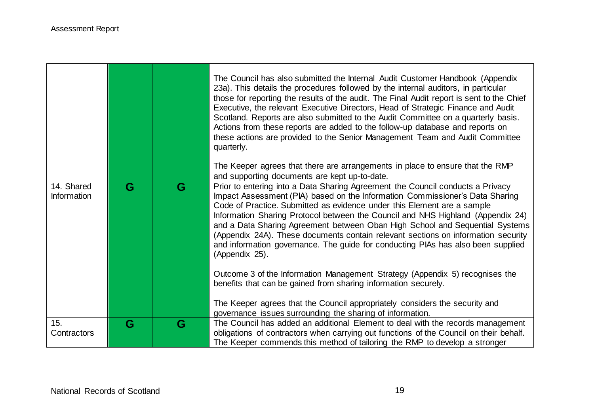|                           |   |   | The Council has also submitted the Internal Audit Customer Handbook (Appendix<br>23a). This details the procedures followed by the internal auditors, in particular<br>those for reporting the results of the audit. The Final Audit report is sent to the Chief<br>Executive, the relevant Executive Directors, Head of Strategic Finance and Audit<br>Scotland. Reports are also submitted to the Audit Committee on a quarterly basis.<br>Actions from these reports are added to the follow-up database and reports on<br>these actions are provided to the Senior Management Team and Audit Committee<br>quarterly.                                                                                                                                                                                                                 |
|---------------------------|---|---|------------------------------------------------------------------------------------------------------------------------------------------------------------------------------------------------------------------------------------------------------------------------------------------------------------------------------------------------------------------------------------------------------------------------------------------------------------------------------------------------------------------------------------------------------------------------------------------------------------------------------------------------------------------------------------------------------------------------------------------------------------------------------------------------------------------------------------------|
|                           |   |   | The Keeper agrees that there are arrangements in place to ensure that the RMP<br>and supporting documents are kept up-to-date.                                                                                                                                                                                                                                                                                                                                                                                                                                                                                                                                                                                                                                                                                                           |
| 14. Shared<br>Information | G | G | Prior to entering into a Data Sharing Agreement the Council conducts a Privacy<br>Impact Assessment (PIA) based on the Information Commissioner's Data Sharing<br>Code of Practice. Submitted as evidence under this Element are a sample<br>Information Sharing Protocol between the Council and NHS Highland (Appendix 24)<br>and a Data Sharing Agreement between Oban High School and Sequential Systems<br>(Appendix 24A). These documents contain relevant sections on information security<br>and information governance. The guide for conducting PIAs has also been supplied<br>(Appendix 25).<br>Outcome 3 of the Information Management Strategy (Appendix 5) recognises the<br>benefits that can be gained from sharing information securely.<br>The Keeper agrees that the Council appropriately considers the security and |
| 15.                       | G | G | governance issues surrounding the sharing of information.<br>The Council has added an additional Element to deal with the records management                                                                                                                                                                                                                                                                                                                                                                                                                                                                                                                                                                                                                                                                                             |
| Contractors               |   |   | obligations of contractors when carrying out functions of the Council on their behalf.<br>The Keeper commends this method of tailoring the RMP to develop a stronger                                                                                                                                                                                                                                                                                                                                                                                                                                                                                                                                                                                                                                                                     |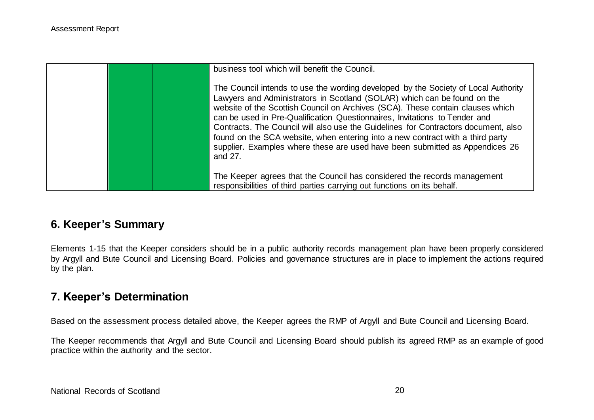| business tool which will benefit the Council.<br>The Council intends to use the wording developed by the Society of Local Authority<br>Lawyers and Administrators in Scotland (SOLAR) which can be found on the<br>website of the Scottish Council on Archives (SCA). These contain clauses which<br>can be used in Pre-Qualification Questionnaires, Invitations to Tender and<br>Contracts. The Council will also use the Guidelines for Contractors document, also<br>found on the SCA website, when entering into a new contract with a third party<br>supplier. Examples where these are used have been submitted as Appendices 26<br>and 27. |
|----------------------------------------------------------------------------------------------------------------------------------------------------------------------------------------------------------------------------------------------------------------------------------------------------------------------------------------------------------------------------------------------------------------------------------------------------------------------------------------------------------------------------------------------------------------------------------------------------------------------------------------------------|
| The Keeper agrees that the Council has considered the records management<br>responsibilities of third parties carrying out functions on its behalf.                                                                                                                                                                                                                                                                                                                                                                                                                                                                                                |

## **6. Keeper's Summary**

Elements 1-15 that the Keeper considers should be in a public authority records management plan have been properly considered by Argyll and Bute Council and Licensing Board. Policies and governance structures are in place to implement the actions required by the plan.

## **7. Keeper's Determination**

Based on the assessment process detailed above, the Keeper agrees the RMP of Argyll and Bute Council and Licensing Board.

The Keeper recommends that Argyll and Bute Council and Licensing Board should publish its agreed RMP as an example of good practice within the authority and the sector.